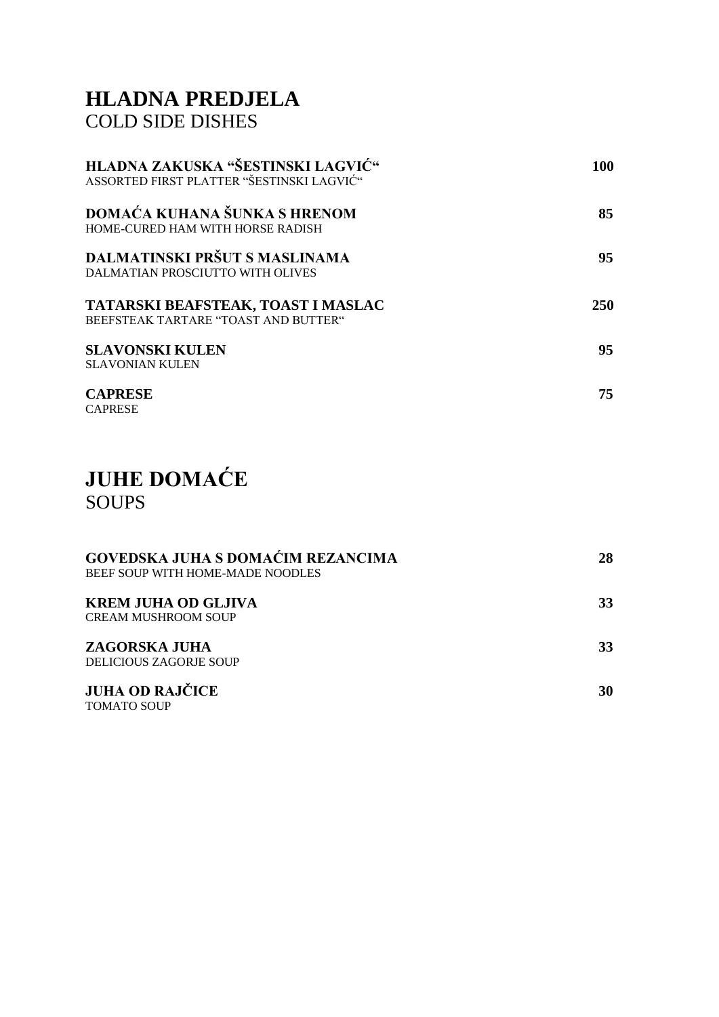### **HLADNA PREDJELA** COLD SIDE DISHES

| HLADNA ZAKUSKA "ŠESTINSKI LAGVIĆ"<br>ASSORTED FIRST PLATTER "ŠESTINSKI LAGVIĆ" | 100        |
|--------------------------------------------------------------------------------|------------|
| DOMAĆA KUHANA ŠUNKA S HRENOM<br>HOME-CURED HAM WITH HORSE RADISH               | 85         |
| DALMATINSKI PRŠUT S MASLINAMA<br>DALMATIAN PROSCIUTTO WITH OLIVES              | 95         |
| TATARSKI BEAFSTEAK, TOAST I MASLAC<br>BEEFSTEAK TARTARE "TOAST AND BUTTER"     | <b>250</b> |
| <b>SLAVONSKI KULEN</b><br><b>SLAVONIAN KULEN</b>                               | 95         |
| <b>CAPRESE</b><br><b>CAPRESE</b>                                               | 75         |

## **JUHE DOMAĆE** SOUPS

| <b>GOVEDSKA JUHA S DOMAĆIM REZANCIMA</b><br>BEEF SOUP WITH HOME-MADE NOODLES | 28 |
|------------------------------------------------------------------------------|----|
| <b>KREM JUHA OD GLJIVA</b><br><b>CREAM MUSHROOM SOUP</b>                     | 33 |
| <b>ZAGORSKA JUHA</b><br><b>DELICIOUS ZAGORJE SOUP</b>                        | 33 |
| <b>JUHA OD RAJČICE</b><br><b>TOMATO SOUP</b>                                 | 30 |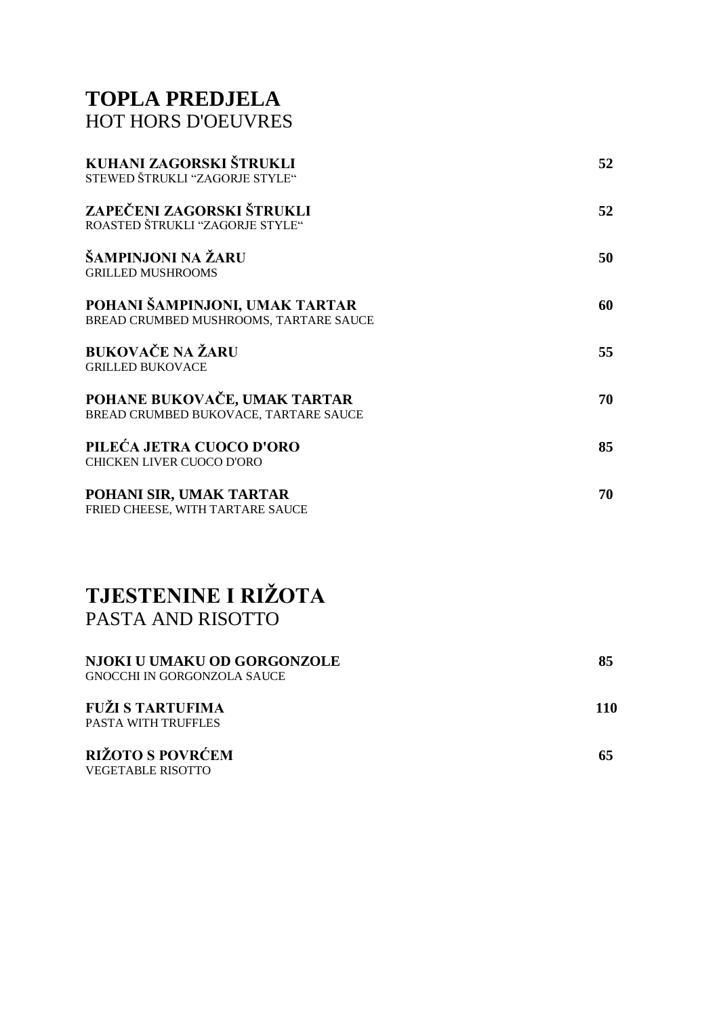#### **TOPLA PREDJELA** HOT HORS D'OEUVRES

| 52 |
|----|
| 52 |
| 50 |
| 60 |
| 55 |
| 70 |
| 85 |
| 70 |
|    |

### **TJESTENINE I RIŽOTA** PASTA AND RISOTTO

| <b>NJOKI U UMAKU OD GORGONZOLE</b><br>GNOCCHI IN GORGONZOLA SAUCE | 85  |
|-------------------------------------------------------------------|-----|
| <b>FUŽI S TARTUFIMA</b><br><b>PASTA WITH TRUFFLES</b>             | 110 |
| <b>RIŽOTO S POVRĆEM</b>                                           |     |

VEGETABLE RISOTTO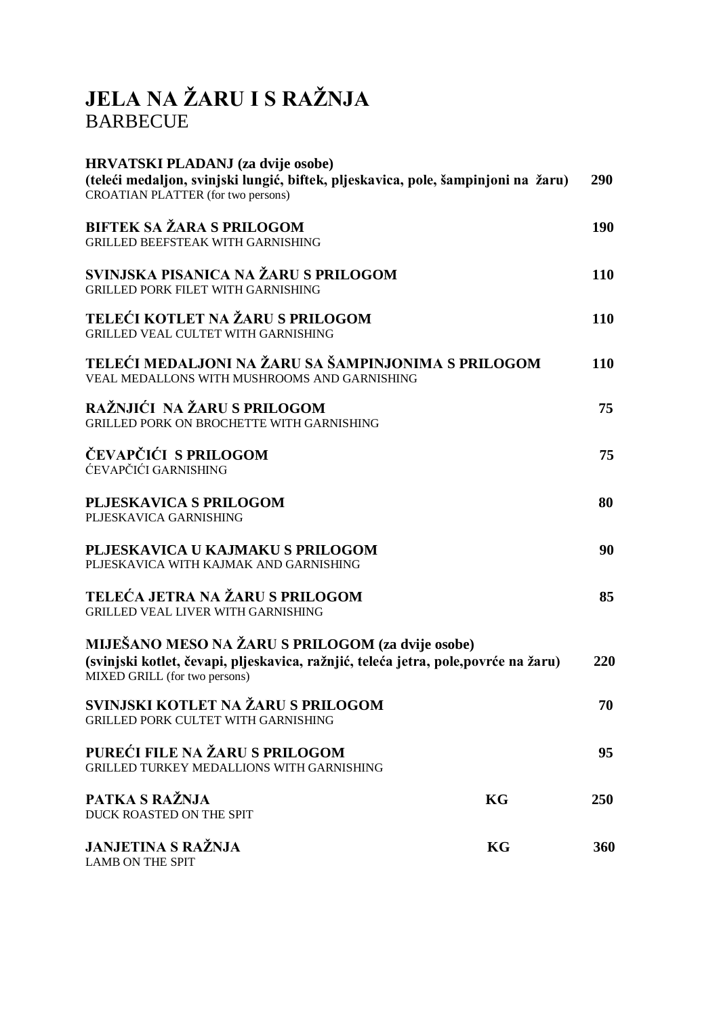# **JELA NA ŽARU I S RAŽNJA** BARBECUE

| <b>HRVATSKI PLADANJ</b> (za dvije osobe)<br>(teleći medaljon, svinjski lungić, biftek, pljeskavica, pole, šampinjoni na žaru)<br>CROATIAN PLATTER (for two persons)       | 290        |
|---------------------------------------------------------------------------------------------------------------------------------------------------------------------------|------------|
| <b>BIFTEK SA ŽARA S PRILOGOM</b><br><b>GRILLED BEEFSTEAK WITH GARNISHING</b>                                                                                              | 190        |
| SVINJSKA PISANICA NA ŽARU S PRILOGOM<br><b>GRILLED PORK FILET WITH GARNISHING</b>                                                                                         | 110        |
| TELEĆI KOTLET NA ŽARU S PRILOGOM<br><b>GRILLED VEAL CULTET WITH GARNISHING</b>                                                                                            | 110        |
| TELEĆI MEDALJONI NA ŽARU SA ŠAMPINJONIMA S PRILOGOM<br>VEAL MEDALLONS WITH MUSHROOMS AND GARNISHING                                                                       | 110        |
| RAŽNJIĆI NA ŽARU S PRILOGOM<br>GRILLED PORK ON BROCHETTE WITH GARNISHING                                                                                                  | 75         |
| ČEVAPČIĆI S PRILOGOM<br>ĆEVAPČIĆI GARNISHING                                                                                                                              | 75         |
| <b>PLJESKAVICA S PRILOGOM</b><br>PLJESKAVICA GARNISHING                                                                                                                   | 80         |
| PLJESKAVICA U KAJMAKU S PRILOGOM<br>PLJESKAVICA WITH KAJMAK AND GARNISHING                                                                                                | 90         |
| TELEĆA JETRA NA ŽARU S PRILOGOM<br><b>GRILLED VEAL LIVER WITH GARNISHING</b>                                                                                              | 85         |
| MIJEŠANO MESO NA ŽARU S PRILOGOM (za dvije osobe)<br>(svinjski kotlet, čevapi, pljeskavica, ražnjić, teleća jetra, pole, povrće na žaru)<br>MIXED GRILL (for two persons) | 220        |
| SVINJSKI KOTLET NA ŽARU S PRILOGOM<br>GRILLED PORK CULTET WITH GARNISHING                                                                                                 | 70         |
| PUREĆI FILE NA ŽARU S PRILOGOM<br>GRILLED TURKEY MEDALLIONS WITH GARNISHING                                                                                               | 95         |
| PATKA S RAŽNJA<br>KG<br>DUCK ROASTED ON THE SPIT                                                                                                                          | <b>250</b> |
| <b>JANJETINA S RAŽNJA</b><br><b>LAMB ON THE SPIT</b>                                                                                                                      | KG<br>360  |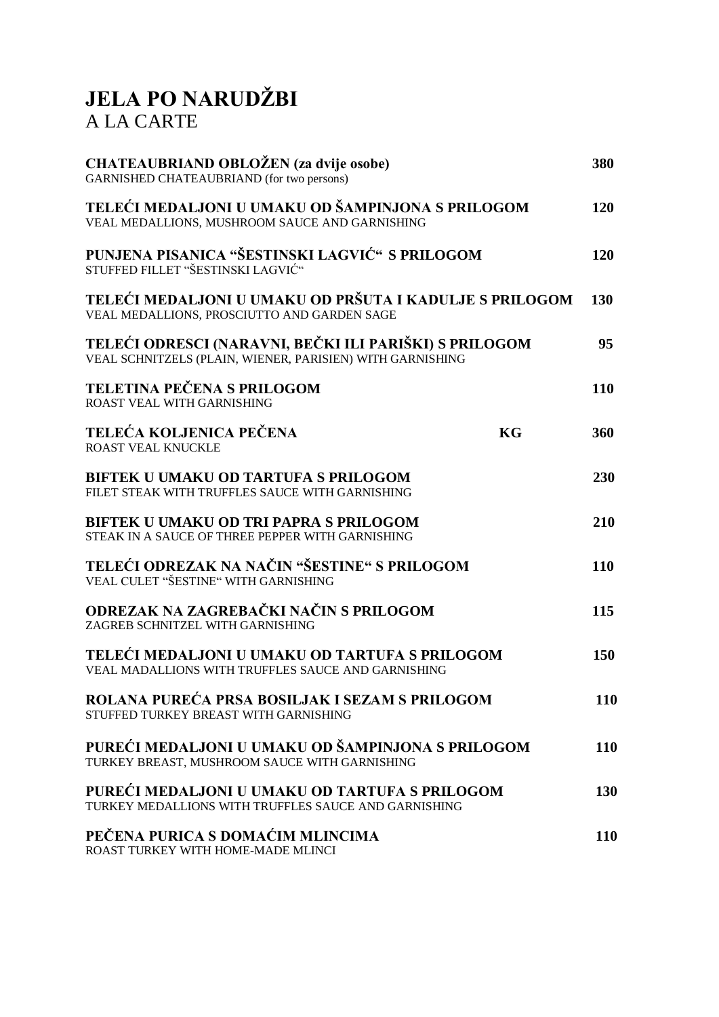# **JELA PO NARUDŽBI** A LA CARTE

| CHATEAUBRIAND OBLOŽEN (za dvije osobe)<br>GARNISHED CHATEAUBRIAND (for two persons)                                 | 380        |
|---------------------------------------------------------------------------------------------------------------------|------------|
| TELEĆI MEDALJONI U UMAKU OD ŠAMPINJONA S PRILOGOM<br>VEAL MEDALLIONS, MUSHROOM SAUCE AND GARNISHING                 | 120        |
| PUNJENA PISANICA "ŠESTINSKI LAGVIĆ" S PRILOGOM<br>STUFFED FILLET "ŠESTINSKI LAGVIĆ"                                 | 120        |
| TELEĆI MEDALJONI U UMAKU OD PRŠUTA I KADULJE S PRILOGOM<br>VEAL MEDALLIONS, PROSCIUTTO AND GARDEN SAGE              | <b>130</b> |
| TELEĆI ODRESCI (NARAVNI, BEČKI ILI PARIŠKI) S PRILOGOM<br>VEAL SCHNITZELS (PLAIN, WIENER, PARISIEN) WITH GARNISHING | 95         |
| <b>TELETINA PEČENA S PRILOGOM</b><br>ROAST VEAL WITH GARNISHING                                                     | 110        |
| TELEĆA KOLJENICA PEČENA<br>KG<br>ROAST VEAL KNUCKLE                                                                 | 360        |
| <b>BIFTEK U UMAKU OD TARTUFA S PRILOGOM</b><br>FILET STEAK WITH TRUFFLES SAUCE WITH GARNISHING                      | 230        |
| <b>BIFTEK U UMAKU OD TRI PAPRA S PRILOGOM</b><br>STEAK IN A SAUCE OF THREE PEPPER WITH GARNISHING                   | 210        |
| TELEĆI ODREZAK NA NAČIN "ŠESTINE" S PRILOGOM<br>VEAL CULET "ŠESTINE" WITH GARNISHING                                | 110        |
| ODREZAK NA ZAGREBAČKI NAČIN S PRILOGOM<br>ZAGREB SCHNITZEL WITH GARNISHING                                          | 115        |
| TELEĆI MEDALJONI U UMAKU OD TARTUFA S PRILOGOM<br>VEAL MADALLIONS WITH TRUFFLES SAUCE AND GARNISHING                | 150        |
| ROLANA PUREĆA PRSA BOSILJAK I SEZAM S PRILOGOM<br>STUFFED TURKEY BREAST WITH GARNISHING                             | 110        |
| PUREĆI MEDALJONI U UMAKU OD ŠAMPINJONA S PRILOGOM<br>TURKEY BREAST, MUSHROOM SAUCE WITH GARNISHING                  | 110        |
| PUREĆI MEDALJONI U UMAKU OD TARTUFA S PRILOGOM<br>TURKEY MEDALLIONS WITH TRUFFLES SAUCE AND GARNISHING              | 130        |
| PEČENA PURICA S DOMAĆIM MLINCIMA<br>ROAST TURKEY WITH HOME-MADE MLINCI                                              | <b>110</b> |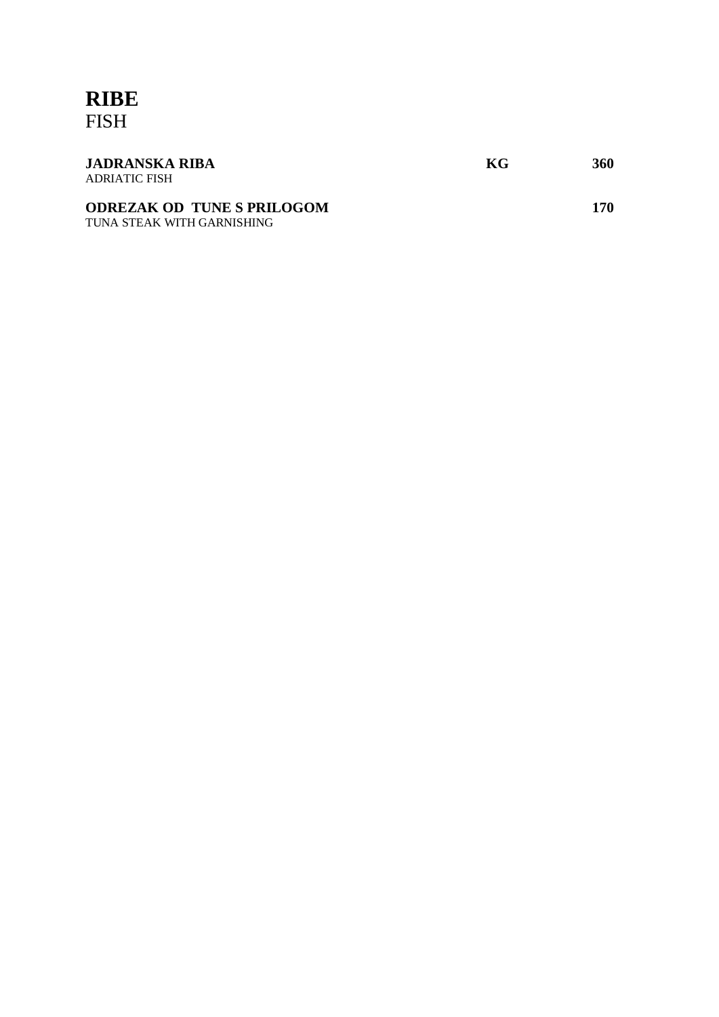#### **RIBE** FISH

| <b>JADRANSKA RIBA</b><br>ADRIATIC FISH                          | KG | 360 |
|-----------------------------------------------------------------|----|-----|
| <b>ODREZAK OD TUNE S PRILOGOM</b><br>TUNA STEAK WITH GARNISHING |    | 170 |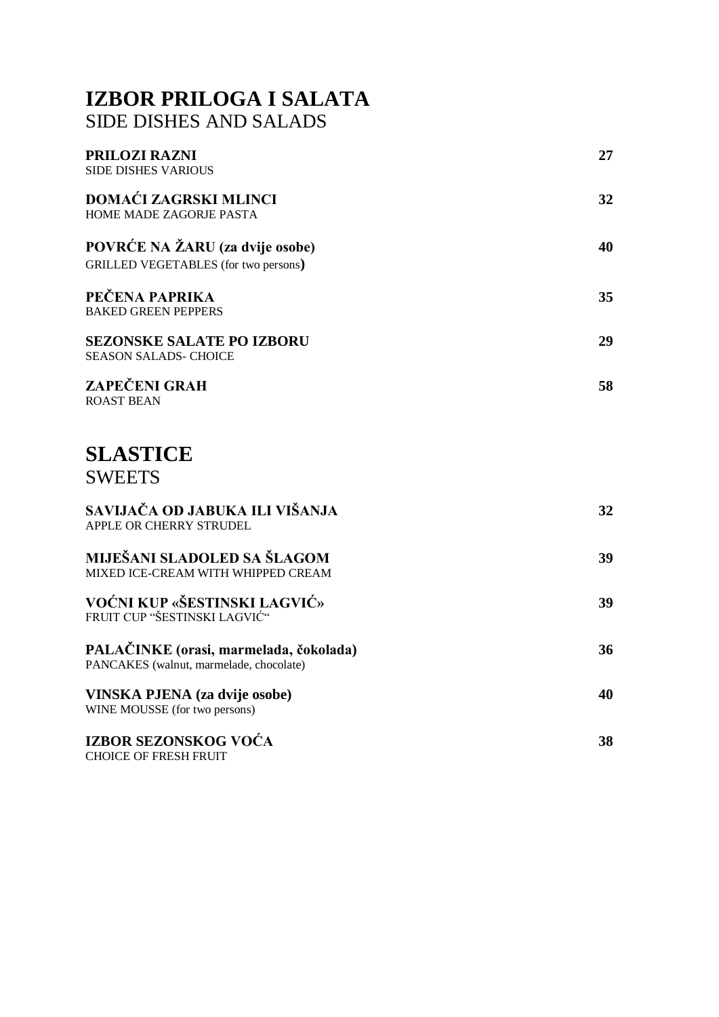### **IZBOR PRILOGA I SALATA** SIDE DISHES AND SALADS

| PRILOZI RAZNI<br><b>SIDE DISHES VARIOUS</b>                                       | 27 |
|-----------------------------------------------------------------------------------|----|
| DOMAĆI ZAGRSKI MLINCI<br>HOME MADE ZAGORJE PASTA                                  | 32 |
| POVRĆE NA ŽARU (za dvije osobe)<br><b>GRILLED VEGETABLES</b> (for two persons)    | 40 |
| PEČENA PAPRIKA<br><b>BAKED GREEN PEPPERS</b>                                      | 35 |
| <b>SEZONSKE SALATE PO IZBORU</b><br><b>SEASON SALADS- CHOICE</b>                  | 29 |
| <b>ZAPEČENI GRAH</b><br><b>ROAST BEAN</b>                                         | 58 |
| <b>SLASTICE</b><br><b>SWEETS</b>                                                  |    |
| SAVIJAČA OD JABUKA ILI VIŠANJA<br>APPLE OR CHERRY STRUDEL                         | 32 |
| MIJEŠANI SLADOLED SA ŠLAGOM<br>MIXED ICE-CREAM WITH WHIPPED CREAM                 | 39 |
| VOĆNI KUP «ŠESTINSKI LAGVIĆ»<br>FRUIT CUP "ŠESTINSKI LAGVIĆ"                      | 39 |
| PALAČINKE (orasi, marmelada, čokolada)<br>PANCAKES (walnut, marmelade, chocolate) | 36 |
| VINSKA PJENA (za dvije osobe)<br>WINE MOUSSE (for two persons)                    | 40 |
| IZBOR SEZONSKOG VOĆA<br><b>CHOICE OF FRESH FRUIT</b>                              | 38 |